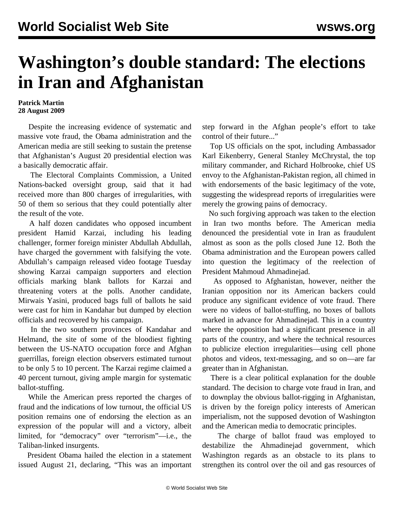## **Washington's double standard: The elections in Iran and Afghanistan**

## **Patrick Martin 28 August 2009**

 Despite the increasing evidence of systematic and massive vote fraud, the Obama administration and the American media are still seeking to sustain the pretense that Afghanistan's August 20 presidential election was a basically democratic affair.

 The Electoral Complaints Commission, a United Nations-backed oversight group, said that it had received more than 800 charges of irregularities, with 50 of them so serious that they could potentially alter the result of the vote.

 A half dozen candidates who opposed incumbent president Hamid Karzai, including his leading challenger, former foreign minister Abdullah Abdullah, have charged the government with falsifying the vote. Abdullah's campaign released video footage Tuesday showing Karzai campaign supporters and election officials marking blank ballots for Karzai and threatening voters at the polls. Another candidate, Mirwais Yasini, produced bags full of ballots he said were cast for him in Kandahar but dumped by election officials and recovered by his campaign.

 In the two southern provinces of Kandahar and Helmand, the site of some of the bloodiest fighting between the US-NATO occupation force and Afghan guerrillas, foreign election observers estimated turnout to be only 5 to 10 percent. The Karzai regime claimed a 40 percent turnout, giving ample margin for systematic ballot-stuffing.

 While the American press reported the charges of fraud and the indications of low turnout, the official US position remains one of endorsing the election as an expression of the popular will and a victory, albeit limited, for "democracy" over "terrorism"—i.e., the Taliban-linked insurgents.

 President Obama hailed the election in a statement issued August 21, declaring, "This was an important step forward in the Afghan people's effort to take control of their future..."

 Top US officials on the spot, including Ambassador Karl Eikenberry, General Stanley McChrystal, the top military commander, and Richard Holbrooke, chief US envoy to the Afghanistan-Pakistan region, all chimed in with endorsements of the basic legitimacy of the vote, suggesting the widespread reports of irregularities were merely the growing pains of democracy.

 No such forgiving approach was taken to the election in Iran two months before. The American media denounced the presidential vote in Iran as fraudulent almost as soon as the polls closed June 12. Both the Obama administration and the European powers called into question the legitimacy of the reelection of President Mahmoud Ahmadinejad.

 As opposed to Afghanistan, however, neither the Iranian opposition nor its American backers could produce any significant evidence of vote fraud. There were no videos of ballot-stuffing, no boxes of ballots marked in advance for Ahmadinejad. This in a country where the opposition had a significant presence in all parts of the country, and where the technical resources to publicize election irregularities—using cell phone photos and videos, text-messaging, and so on—are far greater than in Afghanistan.

 There is a clear political explanation for the double standard. The decision to charge vote fraud in Iran, and to downplay the obvious ballot-rigging in Afghanistan, is driven by the foreign policy interests of American imperialism, not the supposed devotion of Washington and the American media to democratic principles.

 The charge of ballot fraud was employed to destabilize the Ahmadinejad government, which Washington regards as an obstacle to its plans to strengthen its control over the oil and gas resources of